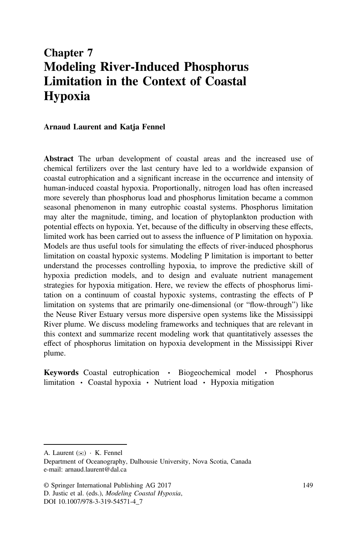# **Chapter 7 Modeling River-Induced Phosphorus Limitation in the Context of Coastal Hypoxia**

#### **Arnaud Laurent and Katja Fennel**

**Abstract** The urban development of coastal areas and the increased use of chemical fertilizers over the last century have led to a worldwide expansion of coastal eutrophication and a significant increase in the occurrence and intensity of human-induced coastal hypoxia. Proportionally, nitrogen load has often increased more severely than phosphorus load and phosphorus limitation became a common seasonal phenomenon in many eutrophic coastal systems. Phosphorus limitation may alter the magnitude, timing, and location of phytoplankton production with potential effects on hypoxia. Yet, because of the difficulty in observing these effects, limited work has been carried out to assess the influence of P limitation on hypoxia. Models are thus useful tools for simulating the effects of river-induced phosphorus limitation on coastal hypoxic systems. Modeling P limitation is important to better understand the processes controlling hypoxia, to improve the predictive skill of hypoxia prediction models, and to design and evaluate nutrient management strategies for hypoxia mitigation. Here, we review the effects of phosphorus limitation on a continuum of coastal hypoxic systems, contrasting the effects of P limitation on systems that are primarily one-dimensional (or "flow-through") like the Neuse River Estuary versus more dispersive open systems like the Mississippi River plume. We discuss modeling frameworks and techniques that are relevant in this context and summarize recent modeling work that quantitatively assesses the effect of phosphorus limitation on hypoxia development in the Mississippi River plume.

**Keywords** Coastal eutrophication ⋅ Biogeochemical model ⋅ Phosphorus limitation ⋅ Coastal hypoxia ⋅ Nutrient load ⋅ Hypoxia mitigation

A. Laurent (✉) <sup>⋅</sup> K. Fennel

Department of Oceanography, Dalhousie University, Nova Scotia, Canada e-mail: arnaud.laurent@dal.ca

<sup>©</sup> Springer International Publishing AG 2017 D. Justic et al. (eds.), *Modeling Coastal Hypoxia*,

DOI 10.1007/978-3-319-54571-4\_7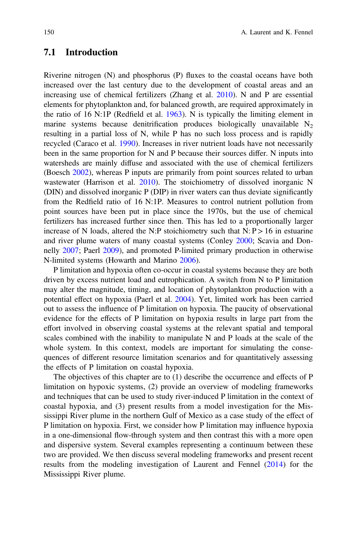# **7.1 Introduction**

Riverine nitrogen (N) and phosphorus (P) fluxes to the coastal oceans have both increased over the last century due to the development of coastal areas and an increasing use of chemical fertilizers (Zhang et al. 2010). N and P are essential elements for phytoplankton and, for balanced growth, are required approximately in the ratio of 16 N:1P (Redfield et al. 1963). N is typically the limiting element in marine systems because denitrification produces biologically unavailable  $N<sub>2</sub>$ resulting in a partial loss of N, while P has no such loss process and is rapidly recycled (Caraco et al. 1990). Increases in river nutrient loads have not necessarily been in the same proportion for N and P because their sources differ. N inputs into watersheds are mainly diffuse and associated with the use of chemical fertilizers (Boesch 2002), whereas P inputs are primarily from point sources related to urban wastewater (Harrison et al. 2010). The stoichiometry of dissolved inorganic N (DIN) and dissolved inorganic P (DIP) in river waters can thus deviate significantly from the Redfield ratio of 16 N:1P. Measures to control nutrient pollution from point sources have been put in place since the 1970s, but the use of chemical fertilizers has increased further since then. This has led to a proportionally larger increase of N loads, altered the N:P stoichiometry such that  $N: P > 16$  in estuarine and river plume waters of many coastal systems (Conley 2000; Scavia and Donnelly 2007; Paerl 2009), and promoted P-limited primary production in otherwise N-limited systems (Howarth and Marino 2006).

P limitation and hypoxia often co-occur in coastal systems because they are both driven by excess nutrient load and eutrophication. A switch from N to P limitation may alter the magnitude, timing, and location of phytoplankton production with a potential effect on hypoxia (Paerl et al. 2004). Yet, limited work has been carried out to assess the influence of P limitation on hypoxia. The paucity of observational evidence for the effects of P limitation on hypoxia results in large part from the effort involved in observing coastal systems at the relevant spatial and temporal scales combined with the inability to manipulate N and P loads at the scale of the whole system. In this context, models are important for simulating the consequences of different resource limitation scenarios and for quantitatively assessing the effects of P limitation on coastal hypoxia.

The objectives of this chapter are to (1) describe the occurrence and effects of P limitation on hypoxic systems, (2) provide an overview of modeling frameworks and techniques that can be used to study river-induced P limitation in the context of coastal hypoxia, and (3) present results from a model investigation for the Mississippi River plume in the northern Gulf of Mexico as a case study of the effect of P limitation on hypoxia. First, we consider how P limitation may influence hypoxia in a one-dimensional flow-through system and then contrast this with a more open and dispersive system. Several examples representing a continuum between these two are provided. We then discuss several modeling frameworks and present recent results from the modeling investigation of Laurent and Fennel (2014) for the Mississippi River plume.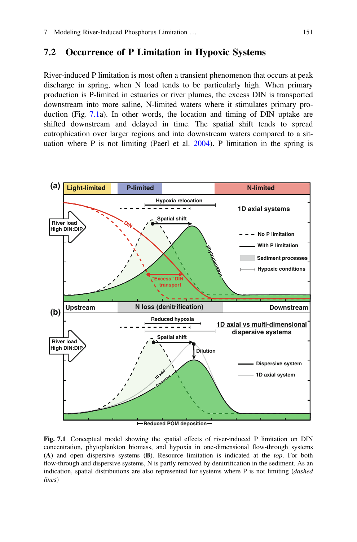# **7.2 Occurrence of P Limitation in Hypoxic Systems**

River-induced P limitation is most often a transient phenomenon that occurs at peak discharge in spring, when N load tends to be particularly high. When primary production is P-limited in estuaries or river plumes, the excess DIN is transported downstream into more saline, N-limited waters where it stimulates primary production (Fig. 7.1a). In other words, the location and timing of DIN uptake are shifted downstream and delayed in time. The spatial shift tends to spread eutrophication over larger regions and into downstream waters compared to a situation where P is not limiting (Paerl et al. 2004). P limitation in the spring is



**Fig. 7.1** Conceptual model showing the spatial effects of river-induced P limitation on DIN concentration, phytoplankton biomass, and hypoxia in one-dimensional flow-through systems (**A**) and open dispersive systems (**B**). Resource limitation is indicated at the *top*. For both flow-through and dispersive systems, N is partly removed by denitrification in the sediment. As an indication, spatial distributions are also represented for systems where P is not limiting (*dashed lines*)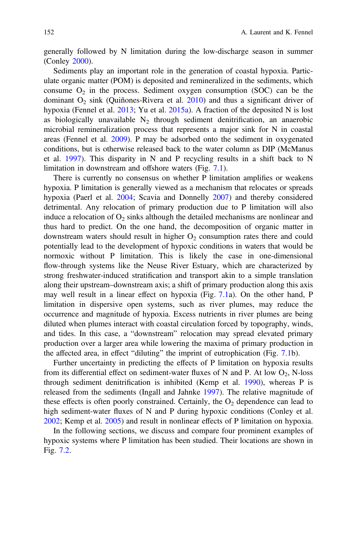generally followed by N limitation during the low-discharge season in summer (Conley 2000).

Sediments play an important role in the generation of coastal hypoxia. Particulate organic matter (POM) is deposited and remineralized in the sediments, which consume  $O<sub>2</sub>$  in the process. Sediment oxygen consumption (SOC) can be the dominant  $O_2$  sink (Quiñones-Rivera et al.  $2010$ ) and thus a significant driver of hypoxia (Fennel et al. 2013; Yu et al. 2015a). A fraction of the deposited N is lost as biologically unavailable  $N_2$  through sediment denitrification, an anaerobic microbial remineralization process that represents a major sink for N in coastal areas (Fennel et al. 2009). P may be adsorbed onto the sediment in oxygenated conditions, but is otherwise released back to the water column as DIP (McManus et al. 1997). This disparity in N and P recycling results in a shift back to N limitation in downstream and offshore waters (Fig. 7.1).

There is currently no consensus on whether P limitation amplifies or weakens hypoxia. P limitation is generally viewed as a mechanism that relocates or spreads hypoxia (Paerl et al. 2004; Scavia and Donnelly 2007) and thereby considered detrimental. Any relocation of primary production due to P limitation will also induce a relocation of  $O_2$  sinks although the detailed mechanisms are nonlinear and thus hard to predict. On the one hand, the decomposition of organic matter in downstream waters should result in higher  $O<sub>2</sub>$  consumption rates there and could potentially lead to the development of hypoxic conditions in waters that would be normoxic without P limitation. This is likely the case in one-dimensional flow-through systems like the Neuse River Estuary, which are characterized by strong freshwater-induced stratification and transport akin to a simple translation along their upstream–downstream axis; a shift of primary production along this axis may well result in a linear effect on hypoxia (Fig. 7.1a). On the other hand, P limitation in dispersive open systems, such as river plumes, may reduce the occurrence and magnitude of hypoxia. Excess nutrients in river plumes are being diluted when plumes interact with coastal circulation forced by topography, winds, and tides. In this case, a "downstream" relocation may spread elevated primary production over a larger area while lowering the maxima of primary production in the affected area, in effect "diluting" the imprint of eutrophication (Fig. 7.1b).

Further uncertainty in predicting the effects of P limitation on hypoxia results from its differential effect on sediment-water fluxes of N and P. At low  $O_2$ , N-loss through sediment denitrification is inhibited (Kemp et al. 1990), whereas P is released from the sediments (Ingall and Jahnke 1997). The relative magnitude of these effects is often poorly constrained. Certainly, the  $O<sub>2</sub>$  dependence can lead to high sediment-water fluxes of N and P during hypoxic conditions (Conley et al. 2002; Kemp et al. 2005) and result in nonlinear effects of P limitation on hypoxia.

In the following sections, we discuss and compare four prominent examples of hypoxic systems where P limitation has been studied. Their locations are shown in Fig. 7.2.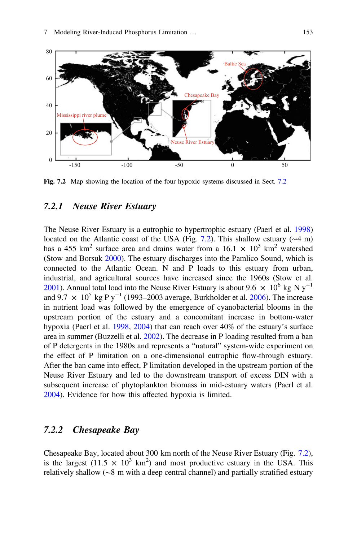

Fig. 7.2 Map showing the location of the four hypoxic systems discussed in Sect. 7.2

# *7.2.1 Neuse River Estuary*

The Neuse River Estuary is a eutrophic to hypertrophic estuary (Paerl et al. 1998) located on the Atlantic coast of the USA (Fig. 7.2). This shallow estuary (∼4 m) has a 455 km<sup>2</sup> surface area and drains water from a  $16.1 \times 10^3$  km<sup>2</sup> watershed (Stow and Borsuk 2000). The estuary discharges into the Pamlico Sound, which is connected to the Atlantic Ocean. N and P loads to this estuary from urban, industrial, and agricultural sources have increased since the 1960s (Stow et al. 2001). Annual total load into the Neuse River Estuary is about 9.6  $\times$  10<sup>6</sup> kg N y<sup>-1</sup> and  $9.7 \times 10^5$  kg P y<sup>-1</sup> (1993–2003 average, Burkholder et al. 2006). The increase in nutrient load was followed by the emergence of cyanobacterial blooms in the upstream portion of the estuary and a concomitant increase in bottom-water hypoxia (Paerl et al. 1998, 2004) that can reach over 40% of the estuary's surface area in summer (Buzzelli et al. 2002). The decrease in P loading resulted from a ban of P detergents in the 1980s and represents a "natural" system-wide experiment on the effect of P limitation on a one-dimensional eutrophic flow-through estuary. After the ban came into effect, P limitation developed in the upstream portion of the Neuse River Estuary and led to the downstream transport of excess DIN with a subsequent increase of phytoplankton biomass in mid-estuary waters (Paerl et al. 2004). Evidence for how this affected hypoxia is limited.

#### *7.2.2 Chesapeake Bay*

Chesapeake Bay, located about 300 km north of the Neuse River Estuary (Fig. 7.2), is the largest  $(11.5 \times 10^3 \text{ km}^2)$  and most productive estuary in the USA. This relatively shallow (∼8 m with a deep central channel) and partially stratified estuary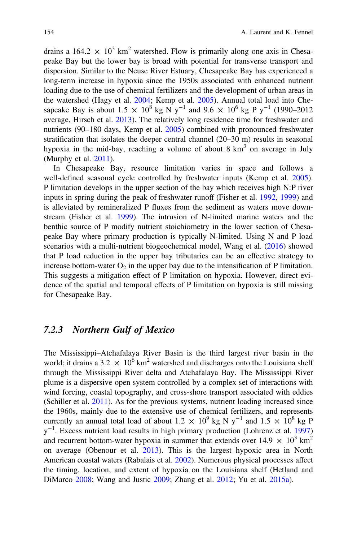drains a  $164.2 \times 10^3$  km<sup>2</sup> watershed. Flow is primarily along one axis in Chesapeake Bay but the lower bay is broad with potential for transverse transport and dispersion. Similar to the Neuse River Estuary, Chesapeake Bay has experienced a long-term increase in hypoxia since the 1950s associated with enhanced nutrient loading due to the use of chemical fertilizers and the development of urban areas in the watershed (Hagy et al. 2004; Kemp et al. 2005). Annual total load into Chesapeake Bay is about 1.5 × 10<sup>8</sup> kg N y<sup>-1</sup> and 9.6 × 10<sup>6</sup> kg P y<sup>-1</sup> (1990–2012 average, Hirsch et al. 2013). The relatively long residence time for freshwater and nutrients (90–180 days, Kemp et al. 2005) combined with pronounced freshwater stratification that isolates the deeper central channel (20–30 m) results in seasonal hypoxia in the mid-bay, reaching a volume of about  $8 \text{ km}^3$  on average in July (Murphy et al. 2011).

In Chesapeake Bay, resource limitation varies in space and follows a well-defined seasonal cycle controlled by freshwater inputs (Kemp et al. 2005). P limitation develops in the upper section of the bay which receives high N:P river inputs in spring during the peak of freshwater runoff (Fisher et al. 1992, 1999) and is alleviated by remineralized P fluxes from the sediment as waters move downstream (Fisher et al. 1999). The intrusion of N-limited marine waters and the benthic source of P modify nutrient stoichiometry in the lower section of Chesapeake Bay where primary production is typically N-limited. Using N and P load scenarios with a multi-nutrient biogeochemical model, Wang et al. (2016) showed that P load reduction in the upper bay tributaries can be an effective strategy to increase bottom-water  $O_2$  in the upper bay due to the intensification of P limitation. This suggests a mitigation effect of P limitation on hypoxia. However, direct evidence of the spatial and temporal effects of P limitation on hypoxia is still missing for Chesapeake Bay.

# *7.2.3 Northern Gulf of Mexico*

The Mississippi–Atchafalaya River Basin is the third largest river basin in the world: it drains a 3.2  $\times$  10<sup>6</sup> km<sup>2</sup> watershed and discharges onto the Louisiana shelf through the Mississippi River delta and Atchafalaya Bay. The Mississippi River plume is a dispersive open system controlled by a complex set of interactions with wind forcing, coastal topography, and cross-shore transport associated with eddies (Schiller et al. 2011). As for the previous systems, nutrient loading increased since the 1960s, mainly due to the extensive use of chemical fertilizers, and represents currently an annual total load of about 1.2 × 10<sup>9</sup> kg N y<sup>-1</sup> and 1.5 × 10<sup>8</sup> kg P y<sup>-1</sup>. Excess nutrient load results in high primary production (Lohrenz et al. 1997) and recurrent bottom-water hypoxia in summer that extends over  $14.9 \times 10^3$  km<sup>2</sup> on average (Obenour et al. 2013). This is the largest hypoxic area in North American coastal waters (Rabalais et al. 2002). Numerous physical processes affect the timing, location, and extent of hypoxia on the Louisiana shelf (Hetland and DiMarco 2008; Wang and Justic 2009; Zhang et al. 2012; Yu et al. 2015a).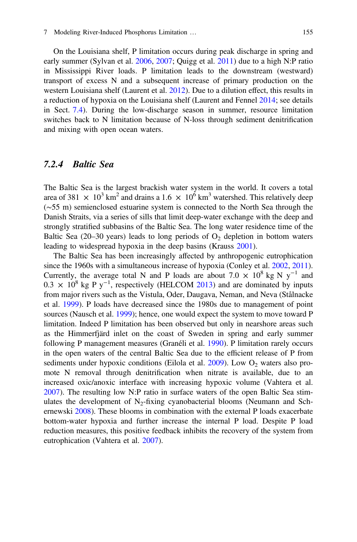On the Louisiana shelf, P limitation occurs during peak discharge in spring and early summer (Sylvan et al. 2006, 2007; Quigg et al. 2011) due to a high N:P ratio in Mississippi River loads. P limitation leads to the downstream (westward) transport of excess N and a subsequent increase of primary production on the western Louisiana shelf (Laurent et al. 2012). Due to a dilution effect, this results in a reduction of hypoxia on the Louisiana shelf (Laurent and Fennel 2014; see details in Sect. 7.4). During the low-discharge season in summer, resource limitation switches back to N limitation because of N-loss through sediment denitrification and mixing with open ocean waters.

# *7.2.4 Baltic Sea*

The Baltic Sea is the largest brackish water system in the world. It covers a total area of 381  $\times$  10<sup>3</sup> km<sup>2</sup> and drains a 1.6  $\times$  10<sup>6</sup> km<sup>3</sup> watershed. This relatively deep (∼55 m) semienclosed estuarine system is connected to the North Sea through the Danish Straits, via a series of sills that limit deep-water exchange with the deep and strongly stratified subbasins of the Baltic Sea. The long water residence time of the Baltic Sea (20–30 years) leads to long periods of  $O_2$  depletion in bottom waters leading to widespread hypoxia in the deep basins (Krauss 2001).

The Baltic Sea has been increasingly affected by anthropogenic eutrophication since the 1960s with a simultaneous increase of hypoxia (Conley et al. 2002, 2011). Currently, the average total N and P loads are about 7.0  $\times$  10<sup>8</sup> kg N y<sup>-1</sup> and  $0.3 \times 10^8$  kg P y<sup>-1</sup>, respectively (HELCOM 2013) and are dominated by inputs from major rivers such as the Vistula, Oder, Daugava, Neman, and Neva (Stålnacke et al. 1999). P loads have decreased since the 1980s due to management of point sources (Nausch et al. 1999); hence, one would expect the system to move toward P limitation. Indeed P limitation has been observed but only in nearshore areas such as the Himmerfjärd inlet on the coast of Sweden in spring and early summer following P management measures (Granéli et al. 1990). P limitation rarely occurs in the open waters of the central Baltic Sea due to the efficient release of P from sediments under hypoxic conditions (Eilola et al.  $2009$ ). Low  $O<sub>2</sub>$  waters also promote N removal through denitrification when nitrate is available, due to an increased oxic/anoxic interface with increasing hypoxic volume (Vahtera et al. 2007). The resulting low N:P ratio in surface waters of the open Baltic Sea stimulates the development of  $N_2$ -fixing cyanobacterial blooms (Neumann and Schernewski 2008). These blooms in combination with the external P loads exacerbate bottom-water hypoxia and further increase the internal P load. Despite P load reduction measures, this positive feedback inhibits the recovery of the system from eutrophication (Vahtera et al. 2007).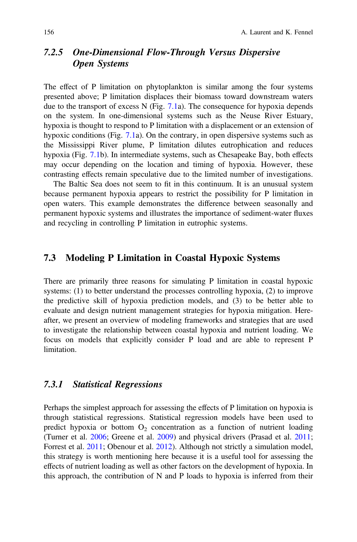# *7.2.5 One-Dimensional Flow-Through Versus Dispersive Open Systems*

The effect of P limitation on phytoplankton is similar among the four systems presented above; P limitation displaces their biomass toward downstream waters due to the transport of excess  $N$  (Fig. 7.1a). The consequence for hypoxia depends on the system. In one-dimensional systems such as the Neuse River Estuary, hypoxia is thought to respond to P limitation with a displacement or an extension of hypoxic conditions (Fig. 7.1a). On the contrary, in open dispersive systems such as the Mississippi River plume, P limitation dilutes eutrophication and reduces hypoxia (Fig. 7.1b). In intermediate systems, such as Chesapeake Bay, both effects may occur depending on the location and timing of hypoxia. However, these contrasting effects remain speculative due to the limited number of investigations.

The Baltic Sea does not seem to fit in this continuum. It is an unusual system because permanent hypoxia appears to restrict the possibility for P limitation in open waters. This example demonstrates the difference between seasonally and permanent hypoxic systems and illustrates the importance of sediment-water fluxes and recycling in controlling P limitation in eutrophic systems.

# **7.3 Modeling P Limitation in Coastal Hypoxic Systems**

There are primarily three reasons for simulating P limitation in coastal hypoxic systems: (1) to better understand the processes controlling hypoxia, (2) to improve the predictive skill of hypoxia prediction models, and (3) to be better able to evaluate and design nutrient management strategies for hypoxia mitigation. Hereafter, we present an overview of modeling frameworks and strategies that are used to investigate the relationship between coastal hypoxia and nutrient loading. We focus on models that explicitly consider P load and are able to represent P limitation.

### *7.3.1 Statistical Regressions*

Perhaps the simplest approach for assessing the effects of P limitation on hypoxia is through statistical regressions. Statistical regression models have been used to predict hypoxia or bottom  $O_2$  concentration as a function of nutrient loading (Turner et al. 2006; Greene et al. 2009) and physical drivers (Prasad et al. 2011; Forrest et al. 2011; Obenour et al. 2012). Although not strictly a simulation model, this strategy is worth mentioning here because it is a useful tool for assessing the effects of nutrient loading as well as other factors on the development of hypoxia. In this approach, the contribution of N and P loads to hypoxia is inferred from their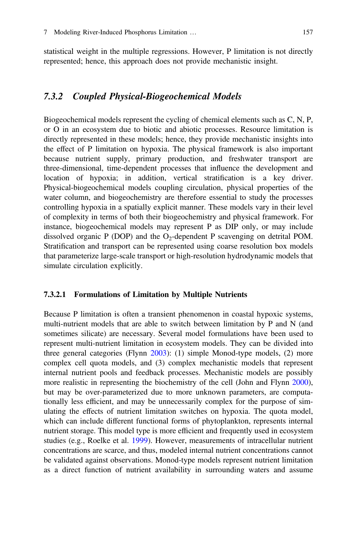statistical weight in the multiple regressions. However, P limitation is not directly represented; hence, this approach does not provide mechanistic insight.

# *7.3.2 Coupled Physical-Biogeochemical Models*

Biogeochemical models represent the cycling of chemical elements such as C, N, P, or O in an ecosystem due to biotic and abiotic processes. Resource limitation is directly represented in these models; hence, they provide mechanistic insights into the effect of P limitation on hypoxia. The physical framework is also important because nutrient supply, primary production, and freshwater transport are three-dimensional, time-dependent processes that influence the development and location of hypoxia; in addition, vertical stratification is a key driver. Physical-biogeochemical models coupling circulation, physical properties of the water column, and biogeochemistry are therefore essential to study the processes controlling hypoxia in a spatially explicit manner. These models vary in their level of complexity in terms of both their biogeochemistry and physical framework. For instance, biogeochemical models may represent P as DIP only, or may include dissolved organic P (DOP) and the  $O<sub>2</sub>$ -dependent P scavenging on detrital POM. Stratification and transport can be represented using coarse resolution box models that parameterize large-scale transport or high-resolution hydrodynamic models that simulate circulation explicitly.

#### **7.3.2.1 Formulations of Limitation by Multiple Nutrients**

Because P limitation is often a transient phenomenon in coastal hypoxic systems, multi-nutrient models that are able to switch between limitation by P and N (and sometimes silicate) are necessary. Several model formulations have been used to represent multi-nutrient limitation in ecosystem models. They can be divided into three general categories (Flynn 2003): (1) simple Monod-type models, (2) more complex cell quota models, and (3) complex mechanistic models that represent internal nutrient pools and feedback processes. Mechanistic models are possibly more realistic in representing the biochemistry of the cell (John and Flynn 2000), but may be over-parameterized due to more unknown parameters, are computationally less efficient, and may be unnecessarily complex for the purpose of simulating the effects of nutrient limitation switches on hypoxia. The quota model, which can include different functional forms of phytoplankton, represents internal nutrient storage. This model type is more efficient and frequently used in ecosystem studies (e.g., Roelke et al. 1999). However, measurements of intracellular nutrient concentrations are scarce, and thus, modeled internal nutrient concentrations cannot be validated against observations. Monod-type models represent nutrient limitation as a direct function of nutrient availability in surrounding waters and assume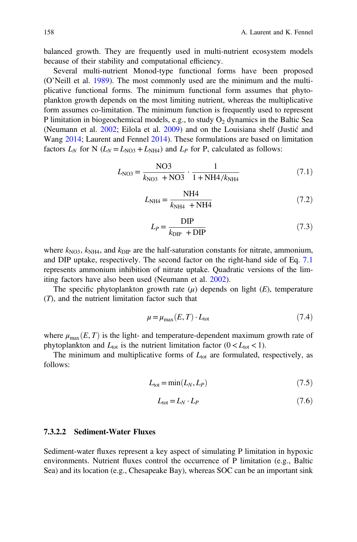balanced growth. They are frequently used in multi-nutrient ecosystem models because of their stability and computational efficiency.

Several multi-nutrient Monod-type functional forms have been proposed (O'Neill et al. 1989). The most commonly used are the minimum and the multiplicative functional forms. The minimum functional form assumes that phytoplankton growth depends on the most limiting nutrient, whereas the multiplicative form assumes co-limitation. The minimum function is frequently used to represent P limitation in biogeochemical models, e.g., to study  $O<sub>2</sub>$  dynamics in the Baltic Sea (Neumann et al. 2002; Eilola et al. 2009) and on the Louisiana shelf (Justić and Wang 2014; Laurent and Fennel 2014). These formulations are based on limitation factors  $L_N$  for N ( $L_N = L_{NO3} + L_{NH4}$ ) and  $L_P$  for P, calculated as follows:

$$
L_{\rm NO3} = \frac{\rm NO3}{k_{\rm NO3} + \rm NO3} \cdot \frac{1}{1 + \rm NH4 / k_{\rm NH4}}\tag{7.1}
$$

$$
L_{\text{NH4}} = \frac{\text{NH4}}{k_{\text{NH4}} + \text{NH4}}\tag{7.2}
$$

$$
L_P = \frac{\text{DIP}}{k_{\text{DIP}} + \text{DIP}}\tag{7.3}
$$

where  $k_{\text{NO3}}$ ,  $k_{\text{NH4}}$ , and  $k_{\text{DIP}}$  are the half-saturation constants for nitrate, ammonium, and DIP uptake, respectively. The second factor on the right-hand side of Eq. 7.1 represents ammonium inhibition of nitrate uptake. Quadratic versions of the limiting factors have also been used (Neumann et al. 2002).

The specific phytoplankton growth rate  $(\mu)$  depends on light  $(E)$ , temperature (*T*), and the nutrient limitation factor such that

$$
\mu = \mu_{\text{max}}(E, T) \cdot L_{\text{tot}} \tag{7.4}
$$

where  $\mu_{\text{max}}(E, T)$  is the light- and temperature-dependent maximum growth rate of phytoplankton and  $L_{\text{tot}}$  is the nutrient limitation factor ( $0 < L_{\text{tot}} < 1$ ).

The minimum and multiplicative forms of  $L_{tot}$  are formulated, respectively, as follows:

$$
L_{\text{tot}} = \min(L_N, L_P) \tag{7.5}
$$

$$
L_{\text{tot}} = L_N \cdot L_P \tag{7.6}
$$

#### **7.3.2.2 Sediment-Water Fluxes**

Sediment-water fluxes represent a key aspect of simulating P limitation in hypoxic environments. Nutrient fluxes control the occurrence of P limitation (e.g., Baltic Sea) and its location (e.g., Chesapeake Bay), whereas SOC can be an important sink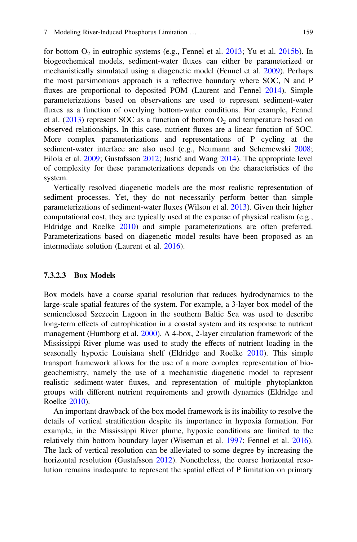for bottom  $O_2$  in eutrophic systems (e.g., Fennel et al. 2013; Yu et al. 2015b). In biogeochemical models, sediment-water fluxes can either be parameterized or mechanistically simulated using a diagenetic model (Fennel et al. 2009). Perhaps the most parsimonious approach is a reflective boundary where SOC, N and P fluxes are proportional to deposited POM (Laurent and Fennel 2014). Simple parameterizations based on observations are used to represent sediment-water fluxes as a function of overlying bottom-water conditions. For example, Fennel et al.  $(2013)$  represent SOC as a function of bottom  $O<sub>2</sub>$  and temperature based on observed relationships. In this case, nutrient fluxes are a linear function of SOC. More complex parameterizations and representations of P cycling at the sediment-water interface are also used (e.g., Neumann and Schernewski 2008; Eilola et al. 2009; Gustafsson 2012; Justić and Wang 2014). The appropriate level of complexity for these parameterizations depends on the characteristics of the system.

Vertically resolved diagenetic models are the most realistic representation of sediment processes. Yet, they do not necessarily perform better than simple parameterizations of sediment-water fluxes (Wilson et al. 2013). Given their higher computational cost, they are typically used at the expense of physical realism (e.g., Eldridge and Roelke 2010) and simple parameterizations are often preferred. Parameterizations based on diagenetic model results have been proposed as an intermediate solution (Laurent et al. 2016).

#### **7.3.2.3 Box Models**

Box models have a coarse spatial resolution that reduces hydrodynamics to the large-scale spatial features of the system. For example, a 3-layer box model of the semienclosed Szczecin Lagoon in the southern Baltic Sea was used to describe long-term effects of eutrophication in a coastal system and its response to nutrient management (Humborg et al. 2000). A 4-box, 2-layer circulation framework of the Mississippi River plume was used to study the effects of nutrient loading in the seasonally hypoxic Louisiana shelf (Eldridge and Roelke 2010). This simple transport framework allows for the use of a more complex representation of biogeochemistry, namely the use of a mechanistic diagenetic model to represent realistic sediment-water fluxes, and representation of multiple phytoplankton groups with different nutrient requirements and growth dynamics (Eldridge and Roelke 2010).

An important drawback of the box model framework is its inability to resolve the details of vertical stratification despite its importance in hypoxia formation. For example, in the Mississippi River plume, hypoxic conditions are limited to the relatively thin bottom boundary layer (Wiseman et al. 1997; Fennel et al. 2016). The lack of vertical resolution can be alleviated to some degree by increasing the horizontal resolution (Gustafsson 2012). Nonetheless, the coarse horizontal resolution remains inadequate to represent the spatial effect of P limitation on primary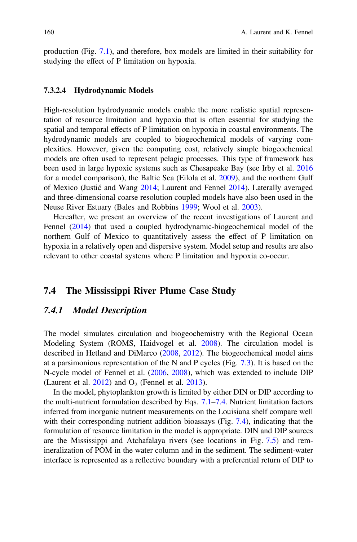production (Fig. 7.1), and therefore, box models are limited in their suitability for studying the effect of P limitation on hypoxia.

#### **7.3.2.4 Hydrodynamic Models**

High-resolution hydrodynamic models enable the more realistic spatial representation of resource limitation and hypoxia that is often essential for studying the spatial and temporal effects of P limitation on hypoxia in coastal environments. The hydrodynamic models are coupled to biogeochemical models of varying complexities. However, given the computing cost, relatively simple biogeochemical models are often used to represent pelagic processes. This type of framework has been used in large hypoxic systems such as Chesapeake Bay (see Irby et al. 2016 for a model comparison), the Baltic Sea (Eilola et al. 2009), and the northern Gulf of Mexico (Justić and Wang 2014; Laurent and Fennel 2014). Laterally averaged and three-dimensional coarse resolution coupled models have also been used in the Neuse River Estuary (Bales and Robbins 1999; Wool et al. 2003).

Hereafter, we present an overview of the recent investigations of Laurent and Fennel (2014) that used a coupled hydrodynamic-biogeochemical model of the northern Gulf of Mexico to quantitatively assess the effect of P limitation on hypoxia in a relatively open and dispersive system. Model setup and results are also relevant to other coastal systems where P limitation and hypoxia co-occur.

# **7.4 The Mississippi River Plume Case Study**

# *7.4.1 Model Description*

The model simulates circulation and biogeochemistry with the Regional Ocean Modeling System (ROMS, Haidvogel et al. 2008). The circulation model is described in Hetland and DiMarco (2008, 2012). The biogeochemical model aims at a parsimonious representation of the N and P cycles (Fig. 7.3). It is based on the N-cycle model of Fennel et al. (2006, 2008), which was extended to include DIP (Laurent et al. 2012) and  $O_2$  (Fennel et al. 2013).

In the model, phytoplankton growth is limited by either DIN or DIP according to the multi-nutrient formulation described by Eqs. 7.1–7.4. Nutrient limitation factors inferred from inorganic nutrient measurements on the Louisiana shelf compare well with their corresponding nutrient addition bioassays (Fig. 7.4), indicating that the formulation of resource limitation in the model is appropriate. DIN and DIP sources are the Mississippi and Atchafalaya rivers (see locations in Fig. 7.5) and remineralization of POM in the water column and in the sediment. The sediment-water interface is represented as a reflective boundary with a preferential return of DIP to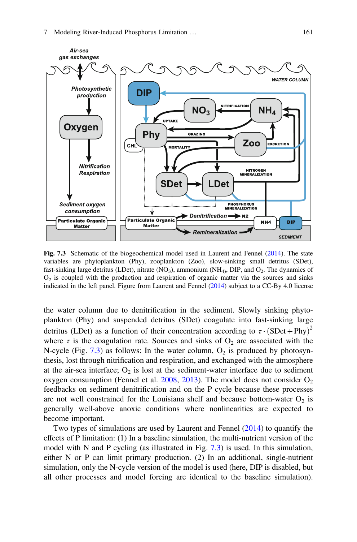

**Fig. 7.3** Schematic of the biogeochemical model used in Laurent and Fennel (2014). The state variables are phytoplankton (Phy), zooplankton (Zoo), slow-sinking small detritus (SDet), fast-sinking large detritus (LDet), nitrate  $(NO<sub>3</sub>)$ , ammonium  $(NH<sub>4</sub>)$ , DIP, and  $O<sub>2</sub>$ . The dynamics of  $O<sub>2</sub>$  is coupled with the production and respiration of organic matter via the sources and sinks indicated in the left panel. Figure from Laurent and Fennel (2014) subject to a CC-By 4.0 license

the water column due to denitrification in the sediment. Slowly sinking phytoplankton (Phy) and suspended detritus (SDet) coagulate into fast-sinking large detritus (LDet) as a function of their concentration according to  $\tau \cdot (SDet + Phy)^2$ where  $\tau$  is the coagulation rate. Sources and sinks of  $O_2$  are associated with the N-cycle (Fig.  $7.3$ ) as follows: In the water column,  $O_2$  is produced by photosynthesis, lost through nitrification and respiration, and exchanged with the atmosphere at the air-sea interface;  $O_2$  is lost at the sediment-water interface due to sediment oxygen consumption (Fennel et al.  $2008$ ,  $2013$ ). The model does not consider  $O<sub>2</sub>$ feedbacks on sediment denitrification and on the P cycle because these processes are not well constrained for the Louisiana shelf and because bottom-water  $O_2$  is generally well-above anoxic conditions where nonlinearities are expected to become important.

Two types of simulations are used by Laurent and Fennel (2014) to quantify the effects of P limitation: (1) In a baseline simulation, the multi-nutrient version of the model with N and P cycling (as illustrated in Fig. 7.3) is used. In this simulation, either N or P can limit primary production. (2) In an additional, single-nutrient simulation, only the N-cycle version of the model is used (here, DIP is disabled, but all other processes and model forcing are identical to the baseline simulation).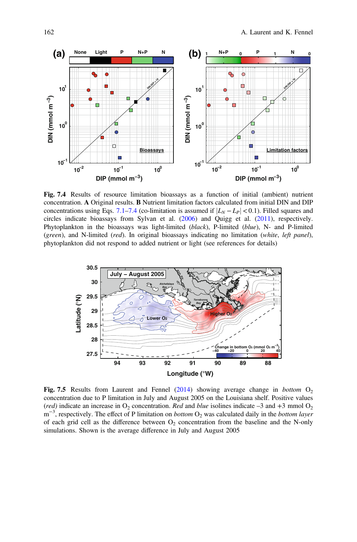

**Fig. 7.4** Results of resource limitation bioassays as a function of initial (ambient) nutrient concentration. **A** Original results. **B** Nutrient limitation factors calculated from initial DIN and DIP concentrations using Eqs. 7.1–7.4 (co-limitation is assumed if  $|L_N - L_P| < 0.1$ ). Filled squares and circles indicate bioassays from Sylvan et al. (2006) and Quigg et al. (2011), respectively. Phytoplankton in the bioassays was light-limited (*black*), P-limited (*blue*), N- and P-limited (*green*), and N-limited (*red*). In original bioassays indicating no limitation (*white*, *left panel*), phytoplankton did not respond to added nutrient or light (see references for details)



**Fig. 7.5** Results from Laurent and Fennel  $(2014)$  showing average change in *bottom*  $O<sub>2</sub>$ concentration due to P limitation in July and August 2005 on the Louisiana shelf. Positive values (*red*) indicate an increase in  $O_2$  concentration. *Red* and *blue* isolines indicate  $-3$  and  $+3$  mmol  $O_2$ m<sup>-3</sup>, respectively. The effect of P limitation on *bottom* O<sub>2</sub> was calculated daily in the *bottom layer* of each grid cell as the difference between  $O_2$  concentration from the baseline and the N-only simulations. Shown is the average difference in July and August 2005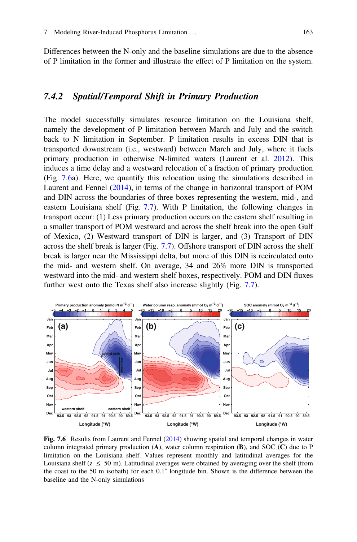Differences between the N-only and the baseline simulations are due to the absence of P limitation in the former and illustrate the effect of P limitation on the system.

# *7.4.2 Spatial/Temporal Shift in Primary Production*

The model successfully simulates resource limitation on the Louisiana shelf, namely the development of P limitation between March and July and the switch back to N limitation in September. P limitation results in excess DIN that is transported downstream (i.e., westward) between March and July, where it fuels primary production in otherwise N-limited waters (Laurent et al. 2012). This induces a time delay and a westward relocation of a fraction of primary production (Fig. 7.6a). Here, we quantify this relocation using the simulations described in Laurent and Fennel (2014), in terms of the change in horizontal transport of POM and DIN across the boundaries of three boxes representing the western, mid-, and eastern Louisiana shelf (Fig. 7.7). With P limitation, the following changes in transport occur: (1) Less primary production occurs on the eastern shelf resulting in a smaller transport of POM westward and across the shelf break into the open Gulf of Mexico, (2) Westward transport of DIN is larger, and (3) Transport of DIN across the shelf break is larger (Fig. 7.7). Offshore transport of DIN across the shelf break is larger near the Mississippi delta, but more of this DIN is recirculated onto the mid- and western shelf. On average, 34 and 26% more DIN is transported westward into the mid- and western shelf boxes, respectively. POM and DIN fluxes further west onto the Texas shelf also increase slightly (Fig. 7.7).



**Fig. 7.6** Results from Laurent and Fennel (2014) showing spatial and temporal changes in water column integrated primary production (**A**), water column respiration (**B**), and SOC (**C**) due to P limitation on the Louisiana shelf. Values represent monthly and latitudinal averages for the Louisiana shelf ( $z \le 50$  m). Latitudinal averages were obtained by averaging over the shelf (from the coast to the 50 m isobath) for each 0.1˚ longitude bin. Shown is the difference between the baseline and the N-only simulations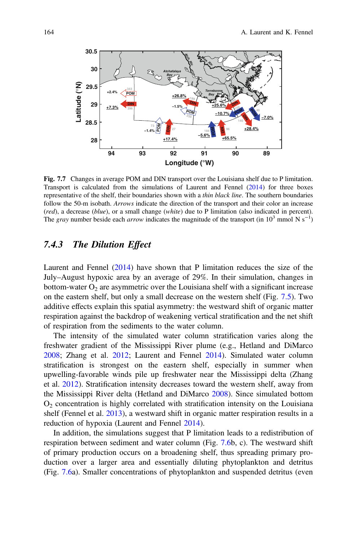

**Fig. 7.7** Changes in average POM and DIN transport over the Louisiana shelf due to P limitation. Transport is calculated from the simulations of Laurent and Fennel (2014) for three boxes representative of the shelf, their boundaries shown with a *thin black line*. The southern boundaries follow the 50-m isobath. *Arrows* indicate the direction of the transport and their color an increase (*red*), a decrease (*blue*), or a small change (*white*) due to P limitation (also indicated in percent). The *gray* number beside each *arrow* indicates the magnitude of the transport (in 10<sup>3</sup> mmol N s<sup>-1</sup>)

# *7.4.3 The Dilution Effect*

Laurent and Fennel (2014) have shown that P limitation reduces the size of the July–August hypoxic area by an average of 29%. In their simulation, changes in bottom-water  $O_2$  are asymmetric over the Louisiana shelf with a significant increase on the eastern shelf, but only a small decrease on the western shelf (Fig. 7.5). Two additive effects explain this spatial asymmetry: the westward shift of organic matter respiration against the backdrop of weakening vertical stratification and the net shift of respiration from the sediments to the water column.

The intensity of the simulated water column stratification varies along the freshwater gradient of the Mississippi River plume (e.g., Hetland and DiMarco 2008; Zhang et al. 2012; Laurent and Fennel 2014). Simulated water column stratification is strongest on the eastern shelf, especially in summer when upwelling-favorable winds pile up freshwater near the Mississippi delta (Zhang et al. 2012). Stratification intensity decreases toward the western shelf, away from the Mississippi River delta (Hetland and DiMarco 2008). Since simulated bottom  $O<sub>2</sub>$  concentration is highly correlated with stratification intensity on the Louisiana shelf (Fennel et al. 2013), a westward shift in organic matter respiration results in a reduction of hypoxia (Laurent and Fennel 2014).

In addition, the simulations suggest that P limitation leads to a redistribution of respiration between sediment and water column (Fig. 7.6b, c). The westward shift of primary production occurs on a broadening shelf, thus spreading primary production over a larger area and essentially diluting phytoplankton and detritus (Fig. 7.6a). Smaller concentrations of phytoplankton and suspended detritus (even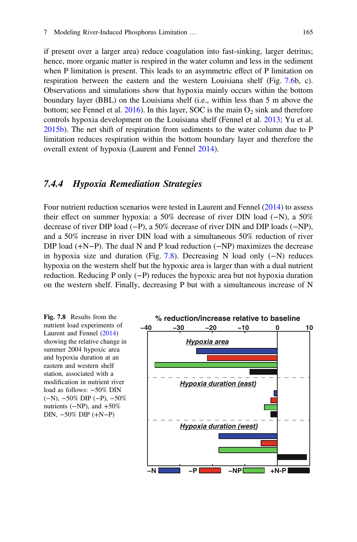if present over a larger area) reduce coagulation into fast-sinking, larger detritus; hence, more organic matter is respired in the water column and less in the sediment when P limitation is present. This leads to an asymmetric effect of P limitation on respiration between the eastern and the western Louisiana shelf (Fig. 7.6b, c). Observations and simulations show that hypoxia mainly occurs within the bottom boundary layer (BBL) on the Louisiana shelf (i.e., within less than 5 m above the bottom; see Fennel et al.  $2016$ ). In this layer, SOC is the main  $O_2$  sink and therefore controls hypoxia development on the Louisiana shelf (Fennel et al. 2013; Yu et al. 2015b). The net shift of respiration from sediments to the water column due to P limitation reduces respiration within the bottom boundary layer and therefore the overall extent of hypoxia (Laurent and Fennel 2014).

#### *7.4.4 Hypoxia Remediation Strategies*

Four nutrient reduction scenarios were tested in Laurent and Fennel (2014) to assess their effect on summer hypoxia: a 50% decrease of river DIN load (−N), a 50% decrease of river DIP load (−P), a 50% decrease of river DIN and DIP loads (−NP), and a 50% increase in river DIN load with a simultaneous 50% reduction of river DIP load (+N−P). The dual N and P load reduction (−NP) maximizes the decrease in hypoxia size and duration (Fig. 7.8). Decreasing N load only  $(-N)$  reduces hypoxia on the western shelf but the hypoxic area is larger than with a dual nutrient reduction. Reducing P only (−P) reduces the hypoxic area but not hypoxia duration on the western shelf. Finally, decreasing P but with a simultaneous increase of N

**Fig. 7.8** Results from the nutrient load experiments of Laurent and Fennel (2014) showing the relative change in summer 2004 hypoxic area and hypoxia duration at an eastern and western shelf station, associated with a modification in nutrient river load as follows: −50% DIN (−N), −50% DIP (−P), −50% nutrients (−NP), and +50% DIN, −50% DIP (+N−P)

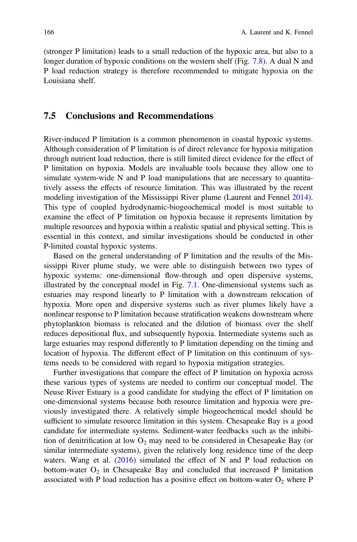(stronger P limitation) leads to a small reduction of the hypoxic area, but also to a longer duration of hypoxic conditions on the western shelf (Fig. 7.8). A dual N and P load reduction strategy is therefore recommended to mitigate hypoxia on the Louisiana shelf.

## **7.5 Conclusions and Recommendations**

River-induced P limitation is a common phenomenon in coastal hypoxic systems. Although consideration of P limitation is of direct relevance for hypoxia mitigation through nutrient load reduction, there is still limited direct evidence for the effect of P limitation on hypoxia. Models are invaluable tools because they allow one to simulate system-wide  $N$  and  $P$  load manipulations that are necessary to quantitatively assess the effects of resource limitation. This was illustrated by the recent modeling investigation of the Mississippi River plume (Laurent and Fennel 2014). This type of coupled hydrodynamic-biogeochemical model is most suitable to examine the effect of P limitation on hypoxia because it represents limitation by multiple resources and hypoxia within a realistic spatial and physical setting. This is essential in this context, and similar investigations should be conducted in other P-limited coastal hypoxic systems.

Based on the general understanding of P limitation and the results of the Mississippi River plume study, we were able to distinguish between two types of hypoxic systems: one-dimensional flow-through and open dispersive systems, illustrated by the conceptual model in Fig. 7.1. One-dimensional systems such as estuaries may respond linearly to P limitation with a downstream relocation of hypoxia. More open and dispersive systems such as river plumes likely have a nonlinear response to P limitation because stratification weakens downstream where phytoplankton biomass is relocated and the dilution of biomass over the shelf reduces depositional flux, and subsequently hypoxia. Intermediate systems such as large estuaries may respond differently to P limitation depending on the timing and location of hypoxia. The different effect of P limitation on this continuum of systems needs to be considered with regard to hypoxia mitigation strategies.

Further investigations that compare the effect of P limitation on hypoxia across these various types of systems are needed to confirm our conceptual model. The Neuse River Estuary is a good candidate for studying the effect of P limitation on one-dimensional systems because both resource limitation and hypoxia were previously investigated there. A relatively simple biogeochemical model should be sufficient to simulate resource limitation in this system. Chesapeake Bay is a good candidate for intermediate systems. Sediment-water feedbacks such as the inhibition of denitrification at low  $O_2$  may need to be considered in Chesapeake Bay (or similar intermediate systems), given the relatively long residence time of the deep waters. Wang et al.  $(2016)$  simulated the effect of N and P load reduction on bottom-water  $O_2$  in Chesapeake Bay and concluded that increased P limitation associated with P load reduction has a positive effect on bottom-water  $O_2$  where P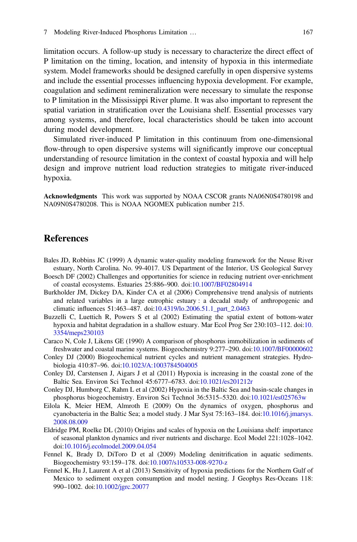limitation occurs. A follow-up study is necessary to characterize the direct effect of P limitation on the timing, location, and intensity of hypoxia in this intermediate system. Model frameworks should be designed carefully in open dispersive systems and include the essential processes influencing hypoxia development. For example, coagulation and sediment remineralization were necessary to simulate the response to P limitation in the Mississippi River plume. It was also important to represent the spatial variation in stratification over the Louisiana shelf. Essential processes vary among systems, and therefore, local characteristics should be taken into account during model development.

Simulated river-induced P limitation in this continuum from one-dimensional flow-through to open dispersive systems will significantly improve our conceptual understanding of resource limitation in the context of coastal hypoxia and will help design and improve nutrient load reduction strategies to mitigate river-induced hypoxia.

**Acknowledgments** This work was supported by NOAA CSCOR grants NA06N0S4780198 and NA09N0S4780208. This is NOAA NGOMEX publication number 215.

# **References**

- Bales JD, Robbins JC (1999) A dynamic water-quality modeling framework for the Neuse River estuary, North Carolina. No. 99-4017. US Department of the Interior, US Geological Survey
- Boesch DF (2002) Challenges and opportunities for science in reducing nutrient over-enrichment of coastal ecosystems. Estuaries 25:886–900. doi:[10.1007/BF02804914](http://dx.doi.org/10.1007/BF02804914)
- Burkholder JM, Dickey DA, Kinder CA et al (2006) Comprehensive trend analysis of nutrients and related variables in a large eutrophic estuary : a decadal study of anthropogenic and climatic influences 51:463–487. doi:[10.4319/lo.2006.51.1\\_part\\_2.0463](http://dx.doi.org/10.4319/lo.2006.51.1_part_2.0463)
- Buzzelli C, Luettich R, Powers S et al (2002) Estimating the spatial extent of bottom-water hypoxia and habitat degradation in a shallow estuary. Mar Ecol Prog Ser 230:103–112. doi:[10.](http://dx.doi.org/10.3354/meps230103) [3354/meps230103](http://dx.doi.org/10.3354/meps230103)
- Caraco N, Cole J, Likens GE (1990) A comparison of phosphorus immobilization in sediments of freshwater and coastal marine systems. Biogeochemistry 9:277–290. doi[:10.1007/BF00000602](http://dx.doi.org/10.1007/BF00000602)
- Conley DJ (2000) Biogeochemical nutrient cycles and nutrient management strategies. Hydrobiologia 410:87–96. doi[:10.1023/A:1003784504005](http://dx.doi.org/10.1023/A:1003784504005)
- Conley DJ, Carstensen J, Aigars J et al (2011) Hypoxia is increasing in the coastal zone of the Baltic Sea. Environ Sci Technol 45:6777–6783. doi[:10.1021/es201212r](http://dx.doi.org/10.1021/es201212r)
- Conley DJ, Humborg C, Rahm L et al (2002) Hypoxia in the Baltic Sea and basin-scale changes in phosphorus biogeochemistry. Environ Sci Technol 36:5315–5320. doi:[10.1021/es025763w](http://dx.doi.org/10.1021/es025763w)
- Eilola K, Meier HEM, Almroth E (2009) On the dynamics of oxygen, phosphorus and cyanobacteria in the Baltic Sea; a model study. J Mar Syst 75:163-184. doi[:10.1016/j.jmarsys.](http://dx.doi.org/10.1016/j.jmarsys.2008.08.009) [2008.08.009](http://dx.doi.org/10.1016/j.jmarsys.2008.08.009)
- Eldridge PM, Roelke DL (2010) Origins and scales of hypoxia on the Louisiana shelf: importance of seasonal plankton dynamics and river nutrients and discharge. Ecol Model 221:1028–1042. doi:[10.1016/j.ecolmodel.2009.04.054](http://dx.doi.org/10.1016/j.ecolmodel.2009.04.054)
- Fennel K, Brady D, DiToro D et al (2009) Modeling denitrification in aquatic sediments. Biogeochemistry 93:159–178. doi[:10.1007/s10533-008-9270-z](http://dx.doi.org/10.1007/s10533-008-9270-z)
- Fennel K, Hu J, Laurent A et al (2013) Sensitivity of hypoxia predictions for the Northern Gulf of Mexico to sediment oxygen consumption and model nesting. J Geophys Res-Oceans 118: 990–1002. doi:[10.1002/jgrc.20077](http://dx.doi.org/10.1002/jgrc.20077)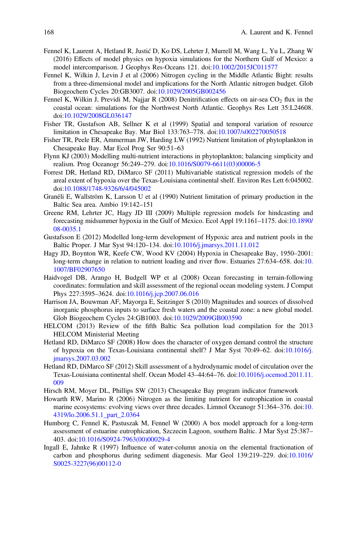- Fennel K, Laurent A, Hetland R, Justić D, Ko DS, Lehrter J, Murrell M, Wang L, Yu L, Zhang W (2016) Effects of model physics on hypoxia simulations for the Northern Gulf of Mexico: a model intercomparison. J Geophys Res-Oceans 121. doi[:10.1002/2015JC011577](http://dx.doi.org/10.1002/2015JC011577)
- Fennel K, Wilkin J, Levin J et al (2006) Nitrogen cycling in the Middle Atlantic Bight: results from a three-dimensional model and implications for the North Atlantic nitrogen budget. Glob Biogeochem Cycles 20:GB3007. doi[:10.1029/2005GB002456](http://dx.doi.org/10.1029/2005GB002456)
- Fennel K, Wilkin J, Previdi M, Najjar R (2008) Denitrification effects on air-sea  $CO<sub>2</sub>$  flux in the coastal ocean: simulations for the Northwest North Atlantic. Geophys Res Lett 35:L24608. doi:[10.1029/2008GL036147](http://dx.doi.org/10.1029/2008GL036147)
- Fisher TR, Gustafson AB, Sellner K et al (1999) Spatial and temporal variation of resource limitation in Chesapeake Bay. Mar Biol 133:763–778. doi:[10.1007/s002270050518](http://dx.doi.org/10.1007/s002270050518)
- Fisher TR, Peele ER, Ammerman JW, Harding LW (1992) Nutrient limitation of phytoplankton in Chesapeake Bay. Mar Ecol Prog Ser 90:51–63
- Flynn KJ (2003) Modelling multi-nutrient interactions in phytoplankton; balancing simplicity and realism. Prog Oceanogr 56:249–279. doi:[10.1016/S0079-6611\(03\)00006-5](http://dx.doi.org/10.1016/S0079-6611(03)00006-5)
- Forrest DR, Hetland RD, DiMarco SF (2011) Multivariable statistical regression models of the areal extent of hypoxia over the Texas-Louisiana continental shelf. Environ Res Lett 6:045002. doi:[10.1088/1748-9326/6/4/045002](http://dx.doi.org/10.1088/1748-9326/6/4/045002)
- Granéli E, Wallström K, Larsson U et al (1990) Nutrient limitation of primary production in the Baltic Sea area. Ambio 19:142–151
- Greene RM, Lehrter JC, Hagy JD III (2009) Multiple regression models for hindcasting and forecasting midsummer hypoxia in the Gulf of Mexico. Ecol Appl 19:1161–1175. doi:[10.1890/](http://dx.doi.org/10.1890/08-0035.1) [08-0035.1](http://dx.doi.org/10.1890/08-0035.1)
- Gustafsson E (2012) Modelled long-term development of Hypoxic area and nutrient pools in the Baltic Proper. J Mar Syst 94:120–134. doi[:10.1016/j.jmarsys.2011.11.012](http://dx.doi.org/10.1016/j.jmarsys.2011.11.012)
- Hagy JD, Boynton WR, Keefe CW, Wood KV (2004) Hypoxia in Chesapeake Bay, 1950–2001: long-term change in relation to nutrient loading and river flow. Estuaries 27:634–658. doi:[10.](http://dx.doi.org/10.1007/BF02907650) [1007/BF02907650](http://dx.doi.org/10.1007/BF02907650)
- Haidvogel DB, Arango H, Budgell WP et al (2008) Ocean forecasting in terrain-following coordinates: formulation and skill assessment of the regional ocean modeling system. J Comput Phys 227:3595–3624. doi[:10.1016/j.jcp.2007.06.016](http://dx.doi.org/10.1016/j.jcp.2007.06.016)
- Harrison JA, Bouwman AF, Mayorga E, Seitzinger S (2010) Magnitudes and sources of dissolved inorganic phosphorus inputs to surface fresh waters and the coastal zone: a new global model. Glob Biogeochem Cycles 24:GB1003. doi:[10.1029/2009GB003590](http://dx.doi.org/10.1029/2009GB003590)
- HELCOM (2013) Review of the fifth Baltic Sea pollution load compilation for the 2013 HELCOM Ministerial Meeting
- Hetland RD, DiMarco SF (2008) How does the character of oxygen demand control the structure of hypoxia on the Texas-Louisiana continental shelf? J Mar Syst 70:49–62. doi[:10.1016/j.](http://dx.doi.org/10.1016/j.jmarsys.2007.03.002) [jmarsys.2007.03.002](http://dx.doi.org/10.1016/j.jmarsys.2007.03.002)
- Hetland RD, DiMarco SF (2012) Skill assessment of a hydrodynamic model of circulation over the Texas-Louisiana continental shelf. Ocean Model 43–44:64–76. doi:[10.1016/j.ocemod.2011.11.](http://dx.doi.org/10.1016/j.ocemod.2011.11.009) [009](http://dx.doi.org/10.1016/j.ocemod.2011.11.009)
- Hirsch RM, Moyer DL, Phillips SW (2013) Chesapeake Bay program indicator framework
- Howarth RW, Marino R (2006) Nitrogen as the limiting nutrient for eutrophication in coastal marine ecosystems: evolving views over three decades. Limnol Oceanogr 51:364–376. doi:[10.](http://dx.doi.org/10.4319/lo.2006.51.1_part_2.0364) [4319/lo.2006.51.1\\_part\\_2.0364](http://dx.doi.org/10.4319/lo.2006.51.1_part_2.0364)
- Humborg C, Fennel K, Pastuszak M, Fennel W (2000) A box model approach for a long-term assessment of estuarine eutrophication, Szczecin Lagoon, southern Baltic. J Mar Syst 25:387– 403. doi[:10.1016/S0924-7963\(00\)00029-4](http://dx.doi.org/10.1016/S0924-7963(00)00029-4)
- Ingall E, Jahnke R (1997) Influence of water-column anoxia on the elemental fractionation of carbon and phosphorus during sediment diagenesis. Mar Geol 139:219–229. doi:[10.1016/](http://dx.doi.org/10.1016/S0025-3227(96)00112-0) [S0025-3227\(96\)00112-0](http://dx.doi.org/10.1016/S0025-3227(96)00112-0)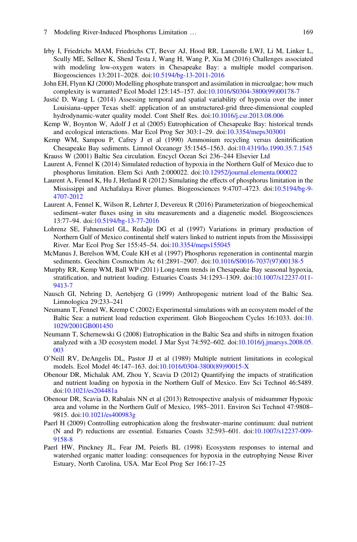- Irby I, Friedrichs MAM, Friedrichs CT, Bever AJ, Hood RR, Lanerolle LWJ, Li M, Linker L, Scully ME, Sellner K, ShenJ Testa J, Wang H, Wang P, Xia M (2016) Challenges associated with modeling low-oxygen waters in Chesapeake Bay: a multiple model comparison. Biogeosciences 13:2011–2028. doi:[10.5194/bg-13-2011-2016](http://dx.doi.org/10.5194/bg-13-2011-2016)
- John EH, Flynn KJ (2000) Modelling phosphate transport and assimilation in microalgae; how much complexity is warranted? Ecol Model 125:145–157. doi[:10.1016/S0304-3800\(99\)00178-7](http://dx.doi.org/10.1016/S0304-3800(99)00178-7)
- Justić D, Wang L (2014) Assessing temporal and spatial variability of hypoxia over the inner Louisiana–upper Texas shelf: application of an unstructured-grid three-dimensional coupled hydrodynamic-water quality model. Cont Shelf Res. doi:[10.1016/j.csr.2013.08.006](http://dx.doi.org/10.1016/j.csr.2013.08.006)
- Kemp W, Boynton W, Adolf J et al (2005) Eutrophication of Chesapeake Bay: historical trends and ecological interactions. Mar Ecol Prog Ser 303:1–29. doi[:10.3354/meps303001](http://dx.doi.org/10.3354/meps303001)
- Kemp WM, Sampou P, Cafrey J et al (1990) Ammonium recycling versus denitrification Chesapeake Bay sediments. Limnol Oceanogr 35:1545–1563. doi[:10.4319/lo.1990.35.7.1545](http://dx.doi.org/10.4319/lo.1990.35.7.1545) Krauss W (2001) Baltic Sea circulation. Encycl Ocean Sci 236–244 Elsevier Ltd
- Laurent A, Fennel K (2014) Simulated reduction of hypoxia in the Northern Gulf of Mexico due to phosphorus limitation. Elem Sci Anth 2:000022. doi[:10.12952/journal.elementa.000022](http://dx.doi.org/10.12952/journal.elementa.000022)
- Laurent A, Fennel K, Hu J, Hetland R (2012) Simulating the effects of phosphorus limitation in the Mississippi and Atchafalaya River plumes. Biogeosciences 9:4707–4723. doi[:10.5194/bg-9-](http://dx.doi.org/10.5194/bg-9-4707-2012) [4707-2012](http://dx.doi.org/10.5194/bg-9-4707-2012)
- Laurent A, Fennel K, Wilson R, Lehrter J, Devereux R (2016) Parameterization of biogeochemical sediment–water fluxes using in situ measurements and a diagenetic model. Biogeosciences 13:77–94. doi:[10.5194/bg-13-77-2016](http://dx.doi.org/10.5194/bg-13-77-2016)
- Lohrenz SE, Fahnenstiel GL, Redalje DG et al (1997) Variations in primary production of Northern Gulf of Mexico continental shelf waters linked to nutrient inputs from the Mississippi River. Mar Ecol Prog Ser 155:45–54. doi[:10.3354/meps155045](http://dx.doi.org/10.3354/meps155045)
- McManus J, Berelson WM, Coale KH et al (1997) Phosphorus regeneration in continental margin sediments. Geochim Cosmochim Ac 61:2891-2907. doi:[10.1016/S0016-7037\(97\)00138-5](http://dx.doi.org/10.1016/S0016-7037(97)00138-5)
- Murphy RR, Kemp WM, Ball WP (2011) Long-term trends in Chesapeake Bay seasonal hypoxia, stratification, and nutrient loading. Estuaries Coasts 34:1293–1309. doi[:10.1007/s12237-011-](http://dx.doi.org/10.1007/s12237-011-9413-7) [9413-7](http://dx.doi.org/10.1007/s12237-011-9413-7)
- Nausch GI, Nehring D, Aertebjerg G (1999) Anthropogenic nutrient load of the Baltic Sea. Limnologica 29:233–241
- Neumann T, Fennel W, Kremp C (2002) Experimental simulations with an ecosystem model of the Baltic Sea: a nutrient load reduction experiment. Glob Biogeochem Cycles 16:1033. doi:[10.](http://dx.doi.org/10.1029/2001GB001450) [1029/2001GB001450](http://dx.doi.org/10.1029/2001GB001450)
- Neumann T, Schernewski G (2008) Eutrophication in the Baltic Sea and shifts in nitrogen fixation analyzed with a 3D ecosystem model. J Mar Syst 74:592–602. doi[:10.1016/j.jmarsys.2008.05.](http://dx.doi.org/10.1016/j.jmarsys.2008.05.003) [003](http://dx.doi.org/10.1016/j.jmarsys.2008.05.003)
- O'Neill RV, DeAngelis DL, Pastor JJ et al (1989) Multiple nutrient limitations in ecological models. Ecol Model 46:147–163. doi[:10.1016/0304-3800\(89\)90015-X](http://dx.doi.org/10.1016/0304-3800(89)90015-X)
- Obenour DR, Michalak AM, Zhou Y, Scavia D (2012) Quantifying the impacts of stratification and nutrient loading on hypoxia in the Northern Gulf of Mexico. Env Sci Technol 46:5489. doi:[10.1021/es204481a](http://dx.doi.org/10.1021/es204481a)
- Obenour DR, Scavia D, Rabalais NN et al (2013) Retrospective analysis of midsummer Hypoxic area and volume in the Northern Gulf of Mexico, 1985–2011. Environ Sci Technol 47:9808– 9815. doi:[10.1021/es400983g](http://dx.doi.org/10.1021/es400983g)
- Paerl H (2009) Controlling eutrophication along the freshwater–marine continuum: dual nutrient (N and P) reductions are essential. Estuaries Coasts 32:593–601. doi[:10.1007/s12237-009-](http://dx.doi.org/10.1007/s12237-009-9158-8) [9158-8](http://dx.doi.org/10.1007/s12237-009-9158-8)
- Paerl HW, Pinckney JL, Fear JM, Peierls BL (1998) Ecosystem responses to internal and watershed organic matter loading: consequences for hypoxia in the eutrophying Neuse River Estuary, North Carolina, USA. Mar Ecol Prog Ser 166:17–25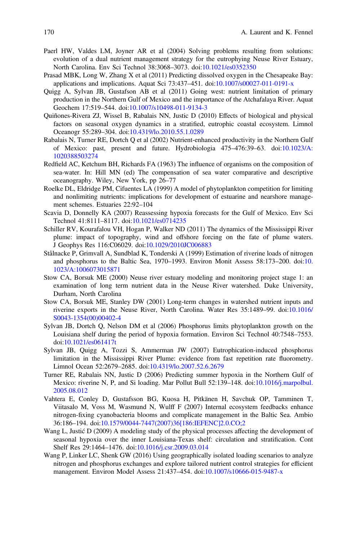- Paerl HW, Valdes LM, Joyner AR et al (2004) Solving problems resulting from solutions: evolution of a dual nutrient management strategy for the eutrophying Neuse River Estuary, North Carolina. Env Sci Technol 38:3068–3073. doi[:10.1021/es0352350](http://dx.doi.org/10.1021/es0352350)
- Prasad MBK, Long W, Zhang X et al (2011) Predicting dissolved oxygen in the Chesapeake Bay: applications and implications. Aquat Sci 73:437–451. doi:[10.1007/s00027-011-0191-x](http://dx.doi.org/10.1007/s00027-011-0191-x)
- Quigg A, Sylvan JB, Gustafson AB et al (2011) Going west: nutrient limitation of primary production in the Northern Gulf of Mexico and the importance of the Atchafalaya River. Aquat Geochem 17:519–544. doi[:10.1007/s10498-011-9134-3](http://dx.doi.org/10.1007/s10498-011-9134-3)
- Quiñones-Rivera ZJ, Wissel B, Rabalais NN, Justic D (2010) Effects of biological and physical factors on seasonal oxygen dynamics in a stratified, eutrophic coastal ecosystem. Limnol Oceanogr 55:289–304. doi:[10.4319/lo.2010.55.1.0289](http://dx.doi.org/10.4319/lo.2010.55.1.0289)
- Rabalais N, Turner RE, Dortch Q et al (2002) Nutrient-enhanced productivity in the Northern Gulf of Mexico: past, present and future. Hydrobiologia 475–476:39–63. doi[:10.1023/A:](http://dx.doi.org/10.1023/A:1020388503274) [1020388503274](http://dx.doi.org/10.1023/A:1020388503274)
- Redfield AC, Ketchum BH, Richards FA (1963) The influence of organisms on the composition of sea-water. In: Hill MN (ed) The compensation of sea water comparative and descriptive oceanography. Wiley, New York, pp 26–77
- Roelke DL, Eldridge PM, Cifuentes LA (1999) A model of phytoplankton competition for limiting and nonlimiting nutrients: implications for development of estuarine and nearshore management schemes. Estuaries 22:92–104
- Scavia D, Donnelly KA (2007) Reassessing hypoxia forecasts for the Gulf of Mexico. Env Sci Technol 41:8111–8117. doi:[10.1021/es0714235](http://dx.doi.org/10.1021/es0714235)
- Schiller RV, Kourafalou VH, Hogan P, Walker ND (2011) The dynamics of the Mississippi River plume: impact of topography, wind and offshore forcing on the fate of plume waters. J Geophys Res 116:C06029. doi:[10.1029/2010JC006883](http://dx.doi.org/10.1029/2010JC006883)
- Stålnacke P, Grimvall A, Sundblad K, Tonderski A (1999) Estimation of riverine loads of nitrogen and phosphorus to the Baltic Sea, 1970–1993. Environ Monit Assess 58:173–200. doi:[10.](http://dx.doi.org/10.1023/A:1006073015871) [1023/A:1006073015871](http://dx.doi.org/10.1023/A:1006073015871)
- Stow CA, Borsuk ME (2000) Neuse river estuary modeling and monitoring project stage 1: an examination of long term nutrient data in the Neuse River watershed. Duke University, Durham, North Carolina
- Stow CA, Borsuk ME, Stanley DW (2001) Long-term changes in watershed nutrient inputs and riverine exports in the Neuse River, North Carolina. Water Res 35:1489–99. doi:[10.1016/](http://dx.doi.org/10.1016/S0043-1354(00)00402-4) [S0043-1354\(00\)00402-4](http://dx.doi.org/10.1016/S0043-1354(00)00402-4)
- Sylvan JB, Dortch Q, Nelson DM et al (2006) Phosphorus limits phytoplankton growth on the Louisiana shelf during the period of hypoxia formation. Environ Sci Technol 40:7548–7553. doi:[10.1021/es061417t](http://dx.doi.org/10.1021/es061417t)
- Sylvan JB, Quigg A, Tozzi S, Ammerman JW (2007) Eutrophication-induced phosphorus limitation in the Mississippi River Plume: evidence from fast repetition rate fluorometry. Limnol Ocean 52:2679–2685. doi[:10.4319/lo.2007.52.6.2679](http://dx.doi.org/10.4319/lo.2007.52.6.2679)
- Turner RE, Rabalais NN, Justic D (2006) Predicting summer hypoxia in the Northern Gulf of Mexico: riverine N, P, and Si loading. Mar Pollut Bull 52:139–148. doi:[10.1016/j.marpolbul.](http://dx.doi.org/10.1016/j.marpolbul.2005.08.012) [2005.08.012](http://dx.doi.org/10.1016/j.marpolbul.2005.08.012)
- Vahtera E, Conley D, Gustafsson BG, Kuosa H, Pitkänen H, Savchuk OP, Tamminen T, Viitasalo M, Voss M, Wasmund N, Wulff F (2007) Internal ecosystem feedbacks enhance nitrogen-fixing cyanobacteria blooms and complicate management in the Baltic Sea. Ambio 36:186–194. doi[:10.1579/0044-7447\(2007\)36\[186:IEFENC\]2.0.CO;2](http://dx.doi.org/10.1579/0044-7447(2007)36[186:IEFENC]2.0.CO;2)
- Wang L, Justić D (2009) A modeling study of the physical processes affecting the development of seasonal hypoxia over the inner Louisiana-Texas shelf: circulation and stratification. Cont Shelf Res 29:1464–1476. doi:[10.1016/j.csr.2009.03.014](http://dx.doi.org/10.1016/j.csr.2009.03.014)
- Wang P, Linker LC, Shenk GW (2016) Using geographically isolated loading scenarios to analyze nitrogen and phosphorus exchanges and explore tailored nutrient control strategies for efficient management. Environ Model Assess 21:437–454. doi[:10.1007/s10666-015-9487-x](http://dx.doi.org/10.1007/s10666-015-9487-x)